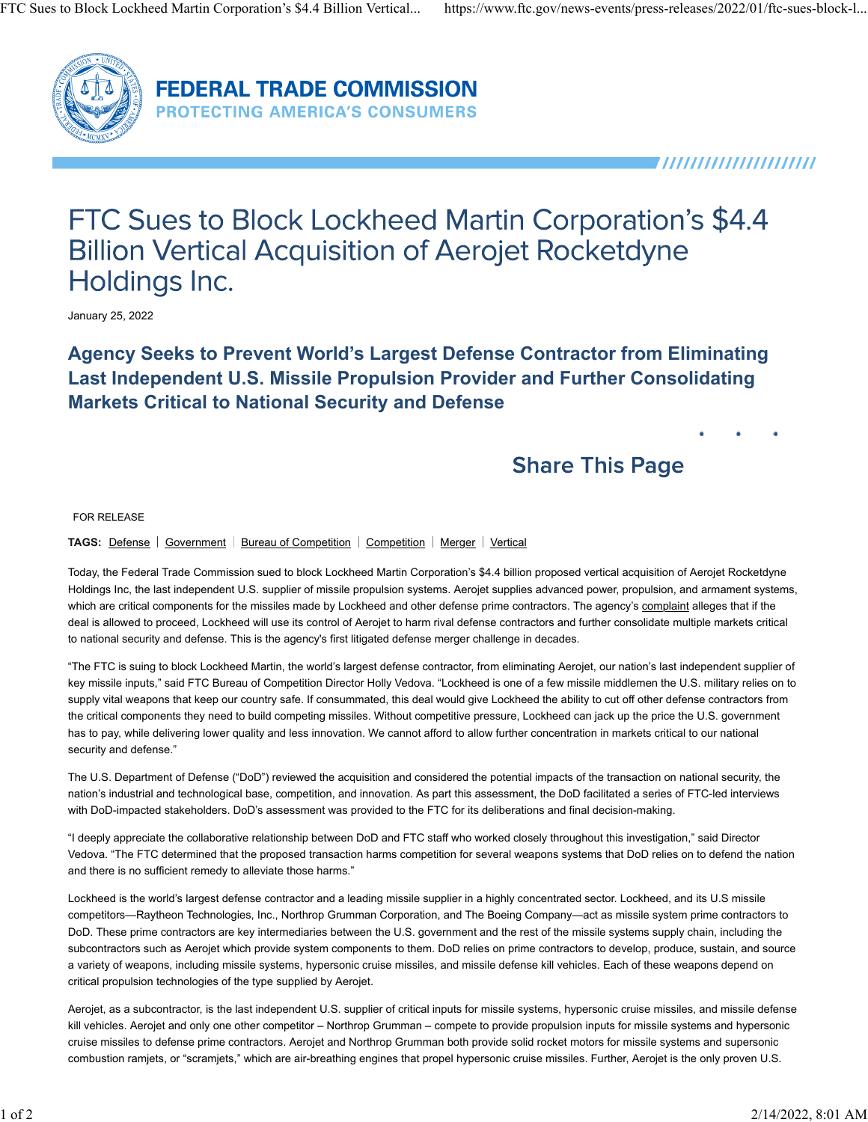

**FEDERAL TRADE COMMISSION PROTECTING AMERICA'S CONSUMERS** 

,,,,,,,,,,,,,,,,,,,,,

# FTC Sues to Block Lockheed Martin Corporation's \$4.4 **Billion Vertical Acquisition of Aerojet Rocketdyne** Holdings Inc.

January 25, 2022

#### **Agency Seeks to Prevent World's Largest Defense Contractor from Eliminating Last Independent U.S. Missile Propulsion Provider and Further Consolidating Markets Critical to National Security and Defense**

## **Share This Page**

#### FOR RELEASE

**TAGS:** Defense | Government | Bureau of Competition | Competition | Merger | Vertical

Today, the Federal Trade Commission sued to block Lockheed Martin Corporation's \$4.4 billion proposed vertical acquisition of Aerojet Rocketdyne Holdings Inc, the last independent U.S. supplier of missile propulsion systems. Aerojet supplies advanced power, propulsion, and armament systems, which are critical components for the missiles made by Lockheed and other defense prime contractors. The agency's complaint alleges that if the deal is allowed to proceed, Lockheed will use its control of Aerojet to harm rival defense contractors and further consolidate multiple markets critical to national security and defense. This is the agency's first litigated defense merger challenge in decades.

"The FTC is suing to block Lockheed Martin, the world's largest defense contractor, from eliminating Aerojet, our nation's last independent supplier of key missile inputs," said FTC Bureau of Competition Director Holly Vedova. "Lockheed is one of a few missile middlemen the U.S. military relies on to supply vital weapons that keep our country safe. If consummated, this deal would give Lockheed the ability to cut off other defense contractors from the critical components they need to build competing missiles. Without competitive pressure, Lockheed can jack up the price the U.S. government has to pay, while delivering lower quality and less innovation. We cannot afford to allow further concentration in markets critical to our national security and defense."

The U.S. Department of Defense ("DoD") reviewed the acquisition and considered the potential impacts of the transaction on national security, the nation's industrial and technological base, competition, and innovation. As part this assessment, the DoD facilitated a series of FTC-led interviews with DoD-impacted stakeholders. DoD's assessment was provided to the FTC for its deliberations and final decision-making.

"I deeply appreciate the collaborative relationship between DoD and FTC staff who worked closely throughout this investigation," said Director Vedova. "The FTC determined that the proposed transaction harms competition for several weapons systems that DoD relies on to defend the nation and there is no sufficient remedy to alleviate those harms."

Lockheed is the world's largest defense contractor and a leading missile supplier in a highly concentrated sector. Lockheed, and its U.S missile competitors—Raytheon Technologies, Inc., Northrop Grumman Corporation, and The Boeing Company—act as missile system prime contractors to DoD. These prime contractors are key intermediaries between the U.S. government and the rest of the missile systems supply chain, including the subcontractors such as Aerojet which provide system components to them. DoD relies on prime contractors to develop, produce, sustain, and source a variety of weapons, including missile systems, hypersonic cruise missiles, and missile defense kill vehicles. Each of these weapons depend on critical propulsion technologies of the type supplied by Aerojet.

Aerojet, as a subcontractor, is the last independent U.S. supplier of critical inputs for missile systems, hypersonic cruise missiles, and missile defense kill vehicles. Aerojet and only one other competitor – Northrop Grumman – compete to provide propulsion inputs for missile systems and hypersonic cruise missiles to defense prime contractors. Aerojet and Northrop Grumman both provide solid rocket motors for missile systems and supersonic combustion ramjets, or "scramjets," which are air-breathing engines that propel hypersonic cruise missiles. Further, Aerojet is the only proven U.S.